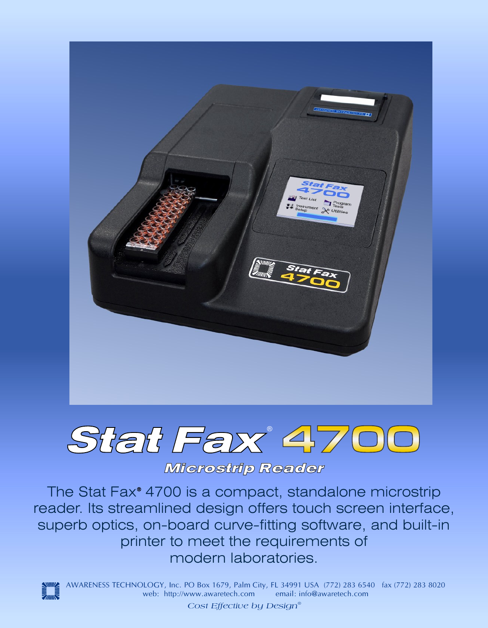



*Microstrip Reader*

The Stat Fax® 4700 is a compact, standalone microstrip reader. Its streamlined design offers touch screen interface, superb optics, on-board curve-fitting software, and built-in printer to meet the requirements of modern laboratories.



AWARENESS TECHNOLOGY, Inc. PO Box 1679, Palm City, FL 34991 USA (772) 283 6540 fax (772) 283 8020 web: http://www.awaretech.com email: info@awaretech.com

Cost Effective by Design®